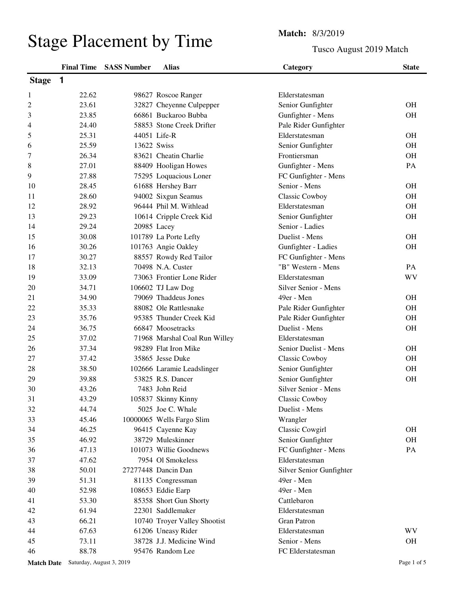## Stage Placement by Time<br>
Tusco Are

Tusco August 2019 Match

|              |              | <b>Final Time SASS Number</b> | <b>Alias</b>                  | Category                 | <b>State</b> |
|--------------|--------------|-------------------------------|-------------------------------|--------------------------|--------------|
| <b>Stage</b> | $\mathbf{1}$ |                               |                               |                          |              |
| 1            | 22.62        |                               | 98627 Roscoe Ranger           | Elderstatesman           |              |
| 2            | 23.61        |                               | 32827 Cheyenne Culpepper      | Senior Gunfighter        | <b>OH</b>    |
| 3            | 23.85        |                               | 66861 Buckaroo Bubba          | Gunfighter - Mens        | <b>OH</b>    |
| 4            | 24.40        |                               | 58853 Stone Creek Drifter     | Pale Rider Gunfighter    |              |
| 5            | 25.31        |                               | 44051 Life-R                  | Elderstatesman           | <b>OH</b>    |
| 6            | 25.59        | 13622 Swiss                   |                               | Senior Gunfighter        | <b>OH</b>    |
| 7            | 26.34        |                               | 83621 Cheatin Charlie         | Frontiersman             | <b>OH</b>    |
| 8            | 27.01        |                               | 88409 Hooligan Howes          | Gunfighter - Mens        | PA           |
| 9            | 27.88        |                               | 75295 Loquacious Loner        | FC Gunfighter - Mens     |              |
| 10           | 28.45        |                               | 61688 Hershey Barr            | Senior - Mens            | <b>OH</b>    |
| 11           | 28.60        |                               | 94002 Sixgun Seamus           | Classic Cowboy           | <b>OH</b>    |
| 12           | 28.92        |                               | 96444 Phil M. Withlead        | Elderstatesman           | <b>OH</b>    |
| 13           | 29.23        |                               | 10614 Cripple Creek Kid       | Senior Gunfighter        | <b>OH</b>    |
| 14           | 29.24        | 20985 Lacey                   |                               | Senior - Ladies          |              |
| 15           | 30.08        |                               | 101789 La Porte Lefty         | Duelist - Mens           | <b>OH</b>    |
| 16           | 30.26        |                               | 101763 Angie Oakley           | Gunfighter - Ladies      | <b>OH</b>    |
| 17           | 30.27        |                               | 88557 Rowdy Red Tailor        | FC Gunfighter - Mens     |              |
| 18           | 32.13        |                               | 70498 N.A. Custer             | "B" Western - Mens       | <b>PA</b>    |
| 19           | 33.09        |                               | 73063 Frontier Lone Rider     | Elderstatesman           | WV           |
| 20           | 34.71        |                               | 106602 TJ Law Dog             | Silver Senior - Mens     |              |
| 21           | 34.90        |                               | 79069 Thaddeus Jones          | 49er - Men               | <b>OH</b>    |
| 22           | 35.33        |                               | 88082 Ole Rattlesnake         | Pale Rider Gunfighter    | <b>OH</b>    |
| 23           | 35.76        |                               | 95385 Thunder Creek Kid       | Pale Rider Gunfighter    | <b>OH</b>    |
| 24           | 36.75        |                               | 66847 Moosetracks             | Duelist - Mens           | <b>OH</b>    |
| 25           | 37.02        |                               | 71968 Marshal Coal Run Willey | Elderstatesman           |              |
| 26           | 37.34        |                               | 98289 Flat Iron Mike          | Senior Duelist - Mens    | <b>OH</b>    |
| 27           | 37.42        |                               | 35865 Jesse Duke              | <b>Classic Cowboy</b>    | <b>OH</b>    |
| 28           | 38.50        |                               | 102666 Laramie Leadslinger    | Senior Gunfighter        | <b>OH</b>    |
| 29           | 39.88        |                               | 53825 R.S. Dancer             | Senior Gunfighter        | <b>OH</b>    |
| 30           | 43.26        |                               | 7483 John Reid                | Silver Senior - Mens     |              |
| 31           | 43.29        |                               | 105837 Skinny Kinny           | Classic Cowboy           |              |
| 32           | 44.74        |                               | 5025 Joe C. Whale             | Duelist - Mens           |              |
| 33           | 45.46        |                               | 10000065 Wells Fargo Slim     | Wrangler                 |              |
| 34           | 46.25        |                               | 96415 Cayenne Kay             | Classic Cowgirl          | <b>OH</b>    |
| 35           | 46.92        |                               | 38729 Muleskinner             | Senior Gunfighter        | <b>OH</b>    |
| 36           | 47.13        |                               | 101073 Willie Goodnews        | FC Gunfighter - Mens     | PA           |
| 37           | 47.62        |                               | 7954 Ol Smokeless             | Elderstatesman           |              |
| 38           | 50.01        |                               | 27277448 Dancin Dan           | Silver Senior Gunfighter |              |
| 39           | 51.31        |                               | 81135 Congressman             | 49er - Men               |              |
| 40           | 52.98        |                               | 108653 Eddie Earp             | 49er - Men               |              |
| 41           | 53.30        |                               | 85358 Short Gun Shorty        | Cattlebaron              |              |
| 42           | 61.94        |                               | 22301 Saddlemaker             | Elderstatesman           |              |
| 43           | 66.21        |                               | 10740 Troyer Valley Shootist  | <b>Gran Patron</b>       |              |
| 44           | 67.63        |                               | 61206 Uneasy Rider            | Elderstatesman           | <b>WV</b>    |
| 45           | 73.11        |                               | 38728 J.J. Medicine Wind      | Senior - Mens            | OH           |
| 46           | 88.78        |                               | 95476 Random Lee              | FC Elderstatesman        |              |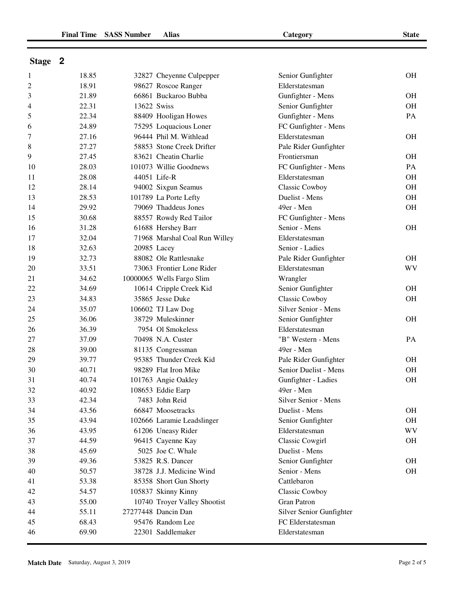| Stage |  |
|-------|--|
|-------|--|

| $\overline{c}$<br>18.91<br>98627 Roscoe Ranger<br>Elderstatesman<br>21.89<br>66861 Buckaroo Bubba<br>Gunfighter - Mens<br>OH<br>3<br>22.31<br>13622 Swiss<br>Senior Gunfighter<br>OH<br>4<br>22.34<br>88409 Hooligan Howes<br>Gunfighter - Mens<br>5<br>PA<br>24.89<br>75295 Loquacious Loner<br>FC Gunfighter - Mens<br>6<br>27.16<br>96444 Phil M. Withlead<br>Elderstatesman<br><b>OH</b><br>7<br>27.27<br>58853 Stone Creek Drifter<br>Pale Rider Gunfighter<br>8<br>9<br>27.45<br>83621 Cheatin Charlie<br>Frontiersman<br>OH<br>28.03<br>101073 Willie Goodnews<br>FC Gunfighter - Mens<br>PA<br>10<br>28.08<br>44051 Life-R<br>Elderstatesman<br>OH<br>11<br>28.14<br>94002 Sixgun Seamus<br>Classic Cowboy<br>OH<br>12<br>Duelist - Mens<br>28.53<br>101789 La Porte Lefty<br>OH<br>13<br>79069 Thaddeus Jones<br>29.92<br>49er - Men<br>14<br><b>OH</b><br>30.68<br>88557 Rowdy Red Tailor<br>FC Gunfighter - Mens<br>15<br>31.28<br>Senior - Mens<br>16<br>61688 Hershey Barr<br><b>OH</b><br>32.04<br>71968 Marshal Coal Run Willey<br>17<br>Elderstatesman<br>18<br>32.63<br>Senior - Ladies<br>20985 Lacey<br>32.73<br>88082 Ole Rattlesnake<br>19<br>Pale Rider Gunfighter<br>OН<br><b>WV</b><br>33.51<br>73063 Frontier Lone Rider<br>Elderstatesman<br>20<br>34.62<br>10000065 Wells Fargo Slim<br>21<br>Wrangler<br>34.69<br>10614 Cripple Creek Kid<br>Senior Gunfighter<br>22<br><b>OH</b><br>35865 Jesse Duke<br>Classic Cowboy<br>23<br>34.83<br>OH<br>35.07<br>106602 TJ Law Dog<br>Silver Senior - Mens<br>24<br>25<br>36.06<br>38729 Muleskinner<br>Senior Gunfighter<br><b>OH</b><br>36.39<br>7954 Ol Smokeless<br>26<br>Elderstatesman<br>37.09<br>70498 N.A. Custer<br>"B" Western - Mens<br>27<br>PA<br>28<br>49er - Men<br>39.00<br>81135 Congressman<br>29<br>95385 Thunder Creek Kid<br>39.77<br>Pale Rider Gunfighter<br><b>OH</b><br>98289 Flat Iron Mike<br>Senior Duelist - Mens<br>30<br>40.71<br><b>OH</b><br>Gunfighter - Ladies<br>31<br>40.74<br>101763 Angie Oakley<br>OH<br>108653 Eddie Earp<br>49er - Men<br>32<br>40.92<br>33<br>7483 John Reid<br>42.34<br>Silver Senior - Mens<br>34<br>43.56<br>66847 Moosetracks<br>Duelist - Mens<br>OH<br>43.94<br>102666 Laramie Leadslinger<br>Senior Gunfighter<br>OH<br>35<br><b>WV</b><br>61206 Uneasy Rider<br>Elderstatesman<br>36<br>43.95<br>37<br>96415 Cayenne Kay<br>Classic Cowgirl<br>44.59<br>OН<br>38<br>45.69<br>5025 Joe C. Whale<br>Duelist - Mens<br>39<br>53825 R.S. Dancer<br>Senior Gunfighter<br>49.36<br>OH<br>38728 J.J. Medicine Wind<br>Senior - Mens<br>OH<br>40<br>50.57<br>Cattlebaron<br>41<br>53.38<br>85358 Short Gun Shorty<br>Classic Cowboy<br>42<br>54.57<br>105837 Skinny Kinny<br><b>Gran Patron</b><br>55.00<br>10740 Troyer Valley Shootist<br>43<br>27277448 Dancin Dan<br>Silver Senior Gunfighter<br>44<br>55.11<br>95476 Random Lee<br>68.43<br>FC Elderstatesman<br>45<br>69.90<br>22301 Saddlemaker<br>46<br>Elderstatesman | $\mathbf{1}$ | 18.85 | 32827 Cheyenne Culpepper | Senior Gunfighter | OH |
|----------------------------------------------------------------------------------------------------------------------------------------------------------------------------------------------------------------------------------------------------------------------------------------------------------------------------------------------------------------------------------------------------------------------------------------------------------------------------------------------------------------------------------------------------------------------------------------------------------------------------------------------------------------------------------------------------------------------------------------------------------------------------------------------------------------------------------------------------------------------------------------------------------------------------------------------------------------------------------------------------------------------------------------------------------------------------------------------------------------------------------------------------------------------------------------------------------------------------------------------------------------------------------------------------------------------------------------------------------------------------------------------------------------------------------------------------------------------------------------------------------------------------------------------------------------------------------------------------------------------------------------------------------------------------------------------------------------------------------------------------------------------------------------------------------------------------------------------------------------------------------------------------------------------------------------------------------------------------------------------------------------------------------------------------------------------------------------------------------------------------------------------------------------------------------------------------------------------------------------------------------------------------------------------------------------------------------------------------------------------------------------------------------------------------------------------------------------------------------------------------------------------------------------------------------------------------------------------------------------------------------------------------------------------------------------------------------------------------------------------------------------------------------------------------------------------------------------------------------------------------------------------------------------------------------------------------------------|--------------|-------|--------------------------|-------------------|----|
|                                                                                                                                                                                                                                                                                                                                                                                                                                                                                                                                                                                                                                                                                                                                                                                                                                                                                                                                                                                                                                                                                                                                                                                                                                                                                                                                                                                                                                                                                                                                                                                                                                                                                                                                                                                                                                                                                                                                                                                                                                                                                                                                                                                                                                                                                                                                                                                                                                                                                                                                                                                                                                                                                                                                                                                                                                                                                                                                                                |              |       |                          |                   |    |
|                                                                                                                                                                                                                                                                                                                                                                                                                                                                                                                                                                                                                                                                                                                                                                                                                                                                                                                                                                                                                                                                                                                                                                                                                                                                                                                                                                                                                                                                                                                                                                                                                                                                                                                                                                                                                                                                                                                                                                                                                                                                                                                                                                                                                                                                                                                                                                                                                                                                                                                                                                                                                                                                                                                                                                                                                                                                                                                                                                |              |       |                          |                   |    |
|                                                                                                                                                                                                                                                                                                                                                                                                                                                                                                                                                                                                                                                                                                                                                                                                                                                                                                                                                                                                                                                                                                                                                                                                                                                                                                                                                                                                                                                                                                                                                                                                                                                                                                                                                                                                                                                                                                                                                                                                                                                                                                                                                                                                                                                                                                                                                                                                                                                                                                                                                                                                                                                                                                                                                                                                                                                                                                                                                                |              |       |                          |                   |    |
|                                                                                                                                                                                                                                                                                                                                                                                                                                                                                                                                                                                                                                                                                                                                                                                                                                                                                                                                                                                                                                                                                                                                                                                                                                                                                                                                                                                                                                                                                                                                                                                                                                                                                                                                                                                                                                                                                                                                                                                                                                                                                                                                                                                                                                                                                                                                                                                                                                                                                                                                                                                                                                                                                                                                                                                                                                                                                                                                                                |              |       |                          |                   |    |
|                                                                                                                                                                                                                                                                                                                                                                                                                                                                                                                                                                                                                                                                                                                                                                                                                                                                                                                                                                                                                                                                                                                                                                                                                                                                                                                                                                                                                                                                                                                                                                                                                                                                                                                                                                                                                                                                                                                                                                                                                                                                                                                                                                                                                                                                                                                                                                                                                                                                                                                                                                                                                                                                                                                                                                                                                                                                                                                                                                |              |       |                          |                   |    |
|                                                                                                                                                                                                                                                                                                                                                                                                                                                                                                                                                                                                                                                                                                                                                                                                                                                                                                                                                                                                                                                                                                                                                                                                                                                                                                                                                                                                                                                                                                                                                                                                                                                                                                                                                                                                                                                                                                                                                                                                                                                                                                                                                                                                                                                                                                                                                                                                                                                                                                                                                                                                                                                                                                                                                                                                                                                                                                                                                                |              |       |                          |                   |    |
|                                                                                                                                                                                                                                                                                                                                                                                                                                                                                                                                                                                                                                                                                                                                                                                                                                                                                                                                                                                                                                                                                                                                                                                                                                                                                                                                                                                                                                                                                                                                                                                                                                                                                                                                                                                                                                                                                                                                                                                                                                                                                                                                                                                                                                                                                                                                                                                                                                                                                                                                                                                                                                                                                                                                                                                                                                                                                                                                                                |              |       |                          |                   |    |
|                                                                                                                                                                                                                                                                                                                                                                                                                                                                                                                                                                                                                                                                                                                                                                                                                                                                                                                                                                                                                                                                                                                                                                                                                                                                                                                                                                                                                                                                                                                                                                                                                                                                                                                                                                                                                                                                                                                                                                                                                                                                                                                                                                                                                                                                                                                                                                                                                                                                                                                                                                                                                                                                                                                                                                                                                                                                                                                                                                |              |       |                          |                   |    |
|                                                                                                                                                                                                                                                                                                                                                                                                                                                                                                                                                                                                                                                                                                                                                                                                                                                                                                                                                                                                                                                                                                                                                                                                                                                                                                                                                                                                                                                                                                                                                                                                                                                                                                                                                                                                                                                                                                                                                                                                                                                                                                                                                                                                                                                                                                                                                                                                                                                                                                                                                                                                                                                                                                                                                                                                                                                                                                                                                                |              |       |                          |                   |    |
|                                                                                                                                                                                                                                                                                                                                                                                                                                                                                                                                                                                                                                                                                                                                                                                                                                                                                                                                                                                                                                                                                                                                                                                                                                                                                                                                                                                                                                                                                                                                                                                                                                                                                                                                                                                                                                                                                                                                                                                                                                                                                                                                                                                                                                                                                                                                                                                                                                                                                                                                                                                                                                                                                                                                                                                                                                                                                                                                                                |              |       |                          |                   |    |
|                                                                                                                                                                                                                                                                                                                                                                                                                                                                                                                                                                                                                                                                                                                                                                                                                                                                                                                                                                                                                                                                                                                                                                                                                                                                                                                                                                                                                                                                                                                                                                                                                                                                                                                                                                                                                                                                                                                                                                                                                                                                                                                                                                                                                                                                                                                                                                                                                                                                                                                                                                                                                                                                                                                                                                                                                                                                                                                                                                |              |       |                          |                   |    |
|                                                                                                                                                                                                                                                                                                                                                                                                                                                                                                                                                                                                                                                                                                                                                                                                                                                                                                                                                                                                                                                                                                                                                                                                                                                                                                                                                                                                                                                                                                                                                                                                                                                                                                                                                                                                                                                                                                                                                                                                                                                                                                                                                                                                                                                                                                                                                                                                                                                                                                                                                                                                                                                                                                                                                                                                                                                                                                                                                                |              |       |                          |                   |    |
|                                                                                                                                                                                                                                                                                                                                                                                                                                                                                                                                                                                                                                                                                                                                                                                                                                                                                                                                                                                                                                                                                                                                                                                                                                                                                                                                                                                                                                                                                                                                                                                                                                                                                                                                                                                                                                                                                                                                                                                                                                                                                                                                                                                                                                                                                                                                                                                                                                                                                                                                                                                                                                                                                                                                                                                                                                                                                                                                                                |              |       |                          |                   |    |
|                                                                                                                                                                                                                                                                                                                                                                                                                                                                                                                                                                                                                                                                                                                                                                                                                                                                                                                                                                                                                                                                                                                                                                                                                                                                                                                                                                                                                                                                                                                                                                                                                                                                                                                                                                                                                                                                                                                                                                                                                                                                                                                                                                                                                                                                                                                                                                                                                                                                                                                                                                                                                                                                                                                                                                                                                                                                                                                                                                |              |       |                          |                   |    |
|                                                                                                                                                                                                                                                                                                                                                                                                                                                                                                                                                                                                                                                                                                                                                                                                                                                                                                                                                                                                                                                                                                                                                                                                                                                                                                                                                                                                                                                                                                                                                                                                                                                                                                                                                                                                                                                                                                                                                                                                                                                                                                                                                                                                                                                                                                                                                                                                                                                                                                                                                                                                                                                                                                                                                                                                                                                                                                                                                                |              |       |                          |                   |    |
|                                                                                                                                                                                                                                                                                                                                                                                                                                                                                                                                                                                                                                                                                                                                                                                                                                                                                                                                                                                                                                                                                                                                                                                                                                                                                                                                                                                                                                                                                                                                                                                                                                                                                                                                                                                                                                                                                                                                                                                                                                                                                                                                                                                                                                                                                                                                                                                                                                                                                                                                                                                                                                                                                                                                                                                                                                                                                                                                                                |              |       |                          |                   |    |
|                                                                                                                                                                                                                                                                                                                                                                                                                                                                                                                                                                                                                                                                                                                                                                                                                                                                                                                                                                                                                                                                                                                                                                                                                                                                                                                                                                                                                                                                                                                                                                                                                                                                                                                                                                                                                                                                                                                                                                                                                                                                                                                                                                                                                                                                                                                                                                                                                                                                                                                                                                                                                                                                                                                                                                                                                                                                                                                                                                |              |       |                          |                   |    |
|                                                                                                                                                                                                                                                                                                                                                                                                                                                                                                                                                                                                                                                                                                                                                                                                                                                                                                                                                                                                                                                                                                                                                                                                                                                                                                                                                                                                                                                                                                                                                                                                                                                                                                                                                                                                                                                                                                                                                                                                                                                                                                                                                                                                                                                                                                                                                                                                                                                                                                                                                                                                                                                                                                                                                                                                                                                                                                                                                                |              |       |                          |                   |    |
|                                                                                                                                                                                                                                                                                                                                                                                                                                                                                                                                                                                                                                                                                                                                                                                                                                                                                                                                                                                                                                                                                                                                                                                                                                                                                                                                                                                                                                                                                                                                                                                                                                                                                                                                                                                                                                                                                                                                                                                                                                                                                                                                                                                                                                                                                                                                                                                                                                                                                                                                                                                                                                                                                                                                                                                                                                                                                                                                                                |              |       |                          |                   |    |
|                                                                                                                                                                                                                                                                                                                                                                                                                                                                                                                                                                                                                                                                                                                                                                                                                                                                                                                                                                                                                                                                                                                                                                                                                                                                                                                                                                                                                                                                                                                                                                                                                                                                                                                                                                                                                                                                                                                                                                                                                                                                                                                                                                                                                                                                                                                                                                                                                                                                                                                                                                                                                                                                                                                                                                                                                                                                                                                                                                |              |       |                          |                   |    |
|                                                                                                                                                                                                                                                                                                                                                                                                                                                                                                                                                                                                                                                                                                                                                                                                                                                                                                                                                                                                                                                                                                                                                                                                                                                                                                                                                                                                                                                                                                                                                                                                                                                                                                                                                                                                                                                                                                                                                                                                                                                                                                                                                                                                                                                                                                                                                                                                                                                                                                                                                                                                                                                                                                                                                                                                                                                                                                                                                                |              |       |                          |                   |    |
|                                                                                                                                                                                                                                                                                                                                                                                                                                                                                                                                                                                                                                                                                                                                                                                                                                                                                                                                                                                                                                                                                                                                                                                                                                                                                                                                                                                                                                                                                                                                                                                                                                                                                                                                                                                                                                                                                                                                                                                                                                                                                                                                                                                                                                                                                                                                                                                                                                                                                                                                                                                                                                                                                                                                                                                                                                                                                                                                                                |              |       |                          |                   |    |
|                                                                                                                                                                                                                                                                                                                                                                                                                                                                                                                                                                                                                                                                                                                                                                                                                                                                                                                                                                                                                                                                                                                                                                                                                                                                                                                                                                                                                                                                                                                                                                                                                                                                                                                                                                                                                                                                                                                                                                                                                                                                                                                                                                                                                                                                                                                                                                                                                                                                                                                                                                                                                                                                                                                                                                                                                                                                                                                                                                |              |       |                          |                   |    |
|                                                                                                                                                                                                                                                                                                                                                                                                                                                                                                                                                                                                                                                                                                                                                                                                                                                                                                                                                                                                                                                                                                                                                                                                                                                                                                                                                                                                                                                                                                                                                                                                                                                                                                                                                                                                                                                                                                                                                                                                                                                                                                                                                                                                                                                                                                                                                                                                                                                                                                                                                                                                                                                                                                                                                                                                                                                                                                                                                                |              |       |                          |                   |    |
|                                                                                                                                                                                                                                                                                                                                                                                                                                                                                                                                                                                                                                                                                                                                                                                                                                                                                                                                                                                                                                                                                                                                                                                                                                                                                                                                                                                                                                                                                                                                                                                                                                                                                                                                                                                                                                                                                                                                                                                                                                                                                                                                                                                                                                                                                                                                                                                                                                                                                                                                                                                                                                                                                                                                                                                                                                                                                                                                                                |              |       |                          |                   |    |
|                                                                                                                                                                                                                                                                                                                                                                                                                                                                                                                                                                                                                                                                                                                                                                                                                                                                                                                                                                                                                                                                                                                                                                                                                                                                                                                                                                                                                                                                                                                                                                                                                                                                                                                                                                                                                                                                                                                                                                                                                                                                                                                                                                                                                                                                                                                                                                                                                                                                                                                                                                                                                                                                                                                                                                                                                                                                                                                                                                |              |       |                          |                   |    |
|                                                                                                                                                                                                                                                                                                                                                                                                                                                                                                                                                                                                                                                                                                                                                                                                                                                                                                                                                                                                                                                                                                                                                                                                                                                                                                                                                                                                                                                                                                                                                                                                                                                                                                                                                                                                                                                                                                                                                                                                                                                                                                                                                                                                                                                                                                                                                                                                                                                                                                                                                                                                                                                                                                                                                                                                                                                                                                                                                                |              |       |                          |                   |    |
|                                                                                                                                                                                                                                                                                                                                                                                                                                                                                                                                                                                                                                                                                                                                                                                                                                                                                                                                                                                                                                                                                                                                                                                                                                                                                                                                                                                                                                                                                                                                                                                                                                                                                                                                                                                                                                                                                                                                                                                                                                                                                                                                                                                                                                                                                                                                                                                                                                                                                                                                                                                                                                                                                                                                                                                                                                                                                                                                                                |              |       |                          |                   |    |
|                                                                                                                                                                                                                                                                                                                                                                                                                                                                                                                                                                                                                                                                                                                                                                                                                                                                                                                                                                                                                                                                                                                                                                                                                                                                                                                                                                                                                                                                                                                                                                                                                                                                                                                                                                                                                                                                                                                                                                                                                                                                                                                                                                                                                                                                                                                                                                                                                                                                                                                                                                                                                                                                                                                                                                                                                                                                                                                                                                |              |       |                          |                   |    |
|                                                                                                                                                                                                                                                                                                                                                                                                                                                                                                                                                                                                                                                                                                                                                                                                                                                                                                                                                                                                                                                                                                                                                                                                                                                                                                                                                                                                                                                                                                                                                                                                                                                                                                                                                                                                                                                                                                                                                                                                                                                                                                                                                                                                                                                                                                                                                                                                                                                                                                                                                                                                                                                                                                                                                                                                                                                                                                                                                                |              |       |                          |                   |    |
|                                                                                                                                                                                                                                                                                                                                                                                                                                                                                                                                                                                                                                                                                                                                                                                                                                                                                                                                                                                                                                                                                                                                                                                                                                                                                                                                                                                                                                                                                                                                                                                                                                                                                                                                                                                                                                                                                                                                                                                                                                                                                                                                                                                                                                                                                                                                                                                                                                                                                                                                                                                                                                                                                                                                                                                                                                                                                                                                                                |              |       |                          |                   |    |
|                                                                                                                                                                                                                                                                                                                                                                                                                                                                                                                                                                                                                                                                                                                                                                                                                                                                                                                                                                                                                                                                                                                                                                                                                                                                                                                                                                                                                                                                                                                                                                                                                                                                                                                                                                                                                                                                                                                                                                                                                                                                                                                                                                                                                                                                                                                                                                                                                                                                                                                                                                                                                                                                                                                                                                                                                                                                                                                                                                |              |       |                          |                   |    |
|                                                                                                                                                                                                                                                                                                                                                                                                                                                                                                                                                                                                                                                                                                                                                                                                                                                                                                                                                                                                                                                                                                                                                                                                                                                                                                                                                                                                                                                                                                                                                                                                                                                                                                                                                                                                                                                                                                                                                                                                                                                                                                                                                                                                                                                                                                                                                                                                                                                                                                                                                                                                                                                                                                                                                                                                                                                                                                                                                                |              |       |                          |                   |    |
|                                                                                                                                                                                                                                                                                                                                                                                                                                                                                                                                                                                                                                                                                                                                                                                                                                                                                                                                                                                                                                                                                                                                                                                                                                                                                                                                                                                                                                                                                                                                                                                                                                                                                                                                                                                                                                                                                                                                                                                                                                                                                                                                                                                                                                                                                                                                                                                                                                                                                                                                                                                                                                                                                                                                                                                                                                                                                                                                                                |              |       |                          |                   |    |
|                                                                                                                                                                                                                                                                                                                                                                                                                                                                                                                                                                                                                                                                                                                                                                                                                                                                                                                                                                                                                                                                                                                                                                                                                                                                                                                                                                                                                                                                                                                                                                                                                                                                                                                                                                                                                                                                                                                                                                                                                                                                                                                                                                                                                                                                                                                                                                                                                                                                                                                                                                                                                                                                                                                                                                                                                                                                                                                                                                |              |       |                          |                   |    |
|                                                                                                                                                                                                                                                                                                                                                                                                                                                                                                                                                                                                                                                                                                                                                                                                                                                                                                                                                                                                                                                                                                                                                                                                                                                                                                                                                                                                                                                                                                                                                                                                                                                                                                                                                                                                                                                                                                                                                                                                                                                                                                                                                                                                                                                                                                                                                                                                                                                                                                                                                                                                                                                                                                                                                                                                                                                                                                                                                                |              |       |                          |                   |    |
|                                                                                                                                                                                                                                                                                                                                                                                                                                                                                                                                                                                                                                                                                                                                                                                                                                                                                                                                                                                                                                                                                                                                                                                                                                                                                                                                                                                                                                                                                                                                                                                                                                                                                                                                                                                                                                                                                                                                                                                                                                                                                                                                                                                                                                                                                                                                                                                                                                                                                                                                                                                                                                                                                                                                                                                                                                                                                                                                                                |              |       |                          |                   |    |
|                                                                                                                                                                                                                                                                                                                                                                                                                                                                                                                                                                                                                                                                                                                                                                                                                                                                                                                                                                                                                                                                                                                                                                                                                                                                                                                                                                                                                                                                                                                                                                                                                                                                                                                                                                                                                                                                                                                                                                                                                                                                                                                                                                                                                                                                                                                                                                                                                                                                                                                                                                                                                                                                                                                                                                                                                                                                                                                                                                |              |       |                          |                   |    |
|                                                                                                                                                                                                                                                                                                                                                                                                                                                                                                                                                                                                                                                                                                                                                                                                                                                                                                                                                                                                                                                                                                                                                                                                                                                                                                                                                                                                                                                                                                                                                                                                                                                                                                                                                                                                                                                                                                                                                                                                                                                                                                                                                                                                                                                                                                                                                                                                                                                                                                                                                                                                                                                                                                                                                                                                                                                                                                                                                                |              |       |                          |                   |    |
|                                                                                                                                                                                                                                                                                                                                                                                                                                                                                                                                                                                                                                                                                                                                                                                                                                                                                                                                                                                                                                                                                                                                                                                                                                                                                                                                                                                                                                                                                                                                                                                                                                                                                                                                                                                                                                                                                                                                                                                                                                                                                                                                                                                                                                                                                                                                                                                                                                                                                                                                                                                                                                                                                                                                                                                                                                                                                                                                                                |              |       |                          |                   |    |
|                                                                                                                                                                                                                                                                                                                                                                                                                                                                                                                                                                                                                                                                                                                                                                                                                                                                                                                                                                                                                                                                                                                                                                                                                                                                                                                                                                                                                                                                                                                                                                                                                                                                                                                                                                                                                                                                                                                                                                                                                                                                                                                                                                                                                                                                                                                                                                                                                                                                                                                                                                                                                                                                                                                                                                                                                                                                                                                                                                |              |       |                          |                   |    |
|                                                                                                                                                                                                                                                                                                                                                                                                                                                                                                                                                                                                                                                                                                                                                                                                                                                                                                                                                                                                                                                                                                                                                                                                                                                                                                                                                                                                                                                                                                                                                                                                                                                                                                                                                                                                                                                                                                                                                                                                                                                                                                                                                                                                                                                                                                                                                                                                                                                                                                                                                                                                                                                                                                                                                                                                                                                                                                                                                                |              |       |                          |                   |    |
|                                                                                                                                                                                                                                                                                                                                                                                                                                                                                                                                                                                                                                                                                                                                                                                                                                                                                                                                                                                                                                                                                                                                                                                                                                                                                                                                                                                                                                                                                                                                                                                                                                                                                                                                                                                                                                                                                                                                                                                                                                                                                                                                                                                                                                                                                                                                                                                                                                                                                                                                                                                                                                                                                                                                                                                                                                                                                                                                                                |              |       |                          |                   |    |
|                                                                                                                                                                                                                                                                                                                                                                                                                                                                                                                                                                                                                                                                                                                                                                                                                                                                                                                                                                                                                                                                                                                                                                                                                                                                                                                                                                                                                                                                                                                                                                                                                                                                                                                                                                                                                                                                                                                                                                                                                                                                                                                                                                                                                                                                                                                                                                                                                                                                                                                                                                                                                                                                                                                                                                                                                                                                                                                                                                |              |       |                          |                   |    |
|                                                                                                                                                                                                                                                                                                                                                                                                                                                                                                                                                                                                                                                                                                                                                                                                                                                                                                                                                                                                                                                                                                                                                                                                                                                                                                                                                                                                                                                                                                                                                                                                                                                                                                                                                                                                                                                                                                                                                                                                                                                                                                                                                                                                                                                                                                                                                                                                                                                                                                                                                                                                                                                                                                                                                                                                                                                                                                                                                                |              |       |                          |                   |    |
|                                                                                                                                                                                                                                                                                                                                                                                                                                                                                                                                                                                                                                                                                                                                                                                                                                                                                                                                                                                                                                                                                                                                                                                                                                                                                                                                                                                                                                                                                                                                                                                                                                                                                                                                                                                                                                                                                                                                                                                                                                                                                                                                                                                                                                                                                                                                                                                                                                                                                                                                                                                                                                                                                                                                                                                                                                                                                                                                                                |              |       |                          |                   |    |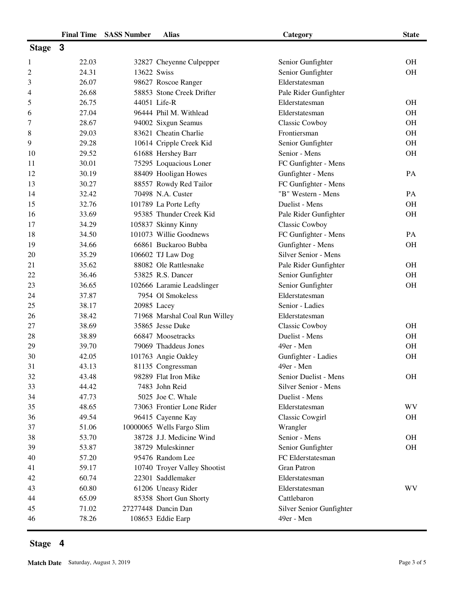|                | <b>Final Time</b> | <b>SASS Number</b> | <b>Alias</b>                  | Category                 | <b>State</b> |
|----------------|-------------------|--------------------|-------------------------------|--------------------------|--------------|
| <b>Stage</b>   | 3                 |                    |                               |                          |              |
| 1              | 22.03             |                    | 32827 Cheyenne Culpepper      | Senior Gunfighter        | <b>OH</b>    |
| $\overline{c}$ | 24.31             | 13622 Swiss        |                               | Senior Gunfighter        | <b>OH</b>    |
| 3              | 26.07             |                    | 98627 Roscoe Ranger           | Elderstatesman           |              |
| 4              | 26.68             |                    | 58853 Stone Creek Drifter     | Pale Rider Gunfighter    |              |
| 5              | 26.75             |                    | 44051 Life-R                  | Elderstatesman           | <b>OH</b>    |
| 6              | 27.04             |                    | 96444 Phil M. Withlead        | Elderstatesman           | <b>OH</b>    |
| 7              | 28.67             |                    | 94002 Sixgun Seamus           | Classic Cowboy           | <b>OH</b>    |
| 8              | 29.03             |                    | 83621 Cheatin Charlie         | Frontiersman             | <b>OH</b>    |
| 9              | 29.28             |                    | 10614 Cripple Creek Kid       | Senior Gunfighter        | <b>OH</b>    |
| 10             | 29.52             |                    | 61688 Hershey Barr            | Senior - Mens            | <b>OH</b>    |
| 11             | 30.01             |                    | 75295 Loquacious Loner        | FC Gunfighter - Mens     |              |
| 12             | 30.19             |                    | 88409 Hooligan Howes          | Gunfighter - Mens        | PA           |
| 13             | 30.27             |                    | 88557 Rowdy Red Tailor        | FC Gunfighter - Mens     |              |
| 14             | 32.42             |                    | 70498 N.A. Custer             | "B" Western - Mens       | PA           |
| 15             | 32.76             |                    | 101789 La Porte Lefty         | Duelist - Mens           | <b>OH</b>    |
| 16             | 33.69             |                    | 95385 Thunder Creek Kid       | Pale Rider Gunfighter    | <b>OH</b>    |
| 17             | 34.29             |                    | 105837 Skinny Kinny           | Classic Cowboy           |              |
| 18             | 34.50             |                    | 101073 Willie Goodnews        | FC Gunfighter - Mens     | PA           |
| 19             | 34.66             |                    | 66861 Buckaroo Bubba          | Gunfighter - Mens        | <b>OH</b>    |
| 20             | 35.29             |                    | 106602 TJ Law Dog             | Silver Senior - Mens     |              |
| 21             | 35.62             |                    | 88082 Ole Rattlesnake         | Pale Rider Gunfighter    | <b>OH</b>    |
| 22             | 36.46             |                    | 53825 R.S. Dancer             | Senior Gunfighter        | <b>OH</b>    |
| 23             | 36.65             |                    | 102666 Laramie Leadslinger    | Senior Gunfighter        | <b>OH</b>    |
| 24             | 37.87             |                    | 7954 Ol Smokeless             | Elderstatesman           |              |
| 25             | 38.17             |                    | 20985 Lacey                   | Senior - Ladies          |              |
| 26             | 38.42             |                    | 71968 Marshal Coal Run Willey | Elderstatesman           |              |
| 27             | 38.69             |                    | 35865 Jesse Duke              | Classic Cowboy           | <b>OH</b>    |
| 28             | 38.89             |                    | 66847 Moosetracks             | Duelist - Mens           | <b>OH</b>    |
| 29             | 39.70             |                    | 79069 Thaddeus Jones          | 49er - Men               | <b>OH</b>    |
| 30             | 42.05             |                    | 101763 Angie Oakley           | Gunfighter - Ladies      | <b>OH</b>    |
| 31             | 43.13             |                    | 81135 Congressman             | 49er - Men               |              |
| 32             | 43.48             |                    | 98289 Flat Iron Mike          | Senior Duelist - Mens    | <b>OH</b>    |
| 33             | 44.42             |                    | 7483 John Reid                | Silver Senior - Mens     |              |
| 34             | 47.73             |                    | 5025 Joe C. Whale             | Duelist - Mens           |              |
| 35             | 48.65             |                    | 73063 Frontier Lone Rider     | Elderstatesman           | WV           |
| 36             | 49.54             |                    | 96415 Cayenne Kay             | <b>Classic Cowgirl</b>   | <b>OH</b>    |
| 37             | 51.06             |                    | 10000065 Wells Fargo Slim     | Wrangler                 |              |
| 38             | 53.70             |                    | 38728 J.J. Medicine Wind      | Senior - Mens            | <b>OH</b>    |
| 39             | 53.87             |                    | 38729 Muleskinner             | Senior Gunfighter        | OH           |
| 40             | 57.20             |                    | 95476 Random Lee              | FC Elderstatesman        |              |
| 41             | 59.17             |                    | 10740 Troyer Valley Shootist  | <b>Gran Patron</b>       |              |
| 42             | 60.74             |                    | 22301 Saddlemaker             | Elderstatesman           |              |
| 43             | 60.80             |                    | 61206 Uneasy Rider            | Elderstatesman           | WV           |
| 44             | 65.09             |                    | 85358 Short Gun Shorty        | Cattlebaron              |              |
| 45             | 71.02             |                    | 27277448 Dancin Dan           | Silver Senior Gunfighter |              |
| 46             | 78.26             |                    | 108653 Eddie Earp             | 49er - Men               |              |

## **Stage 4**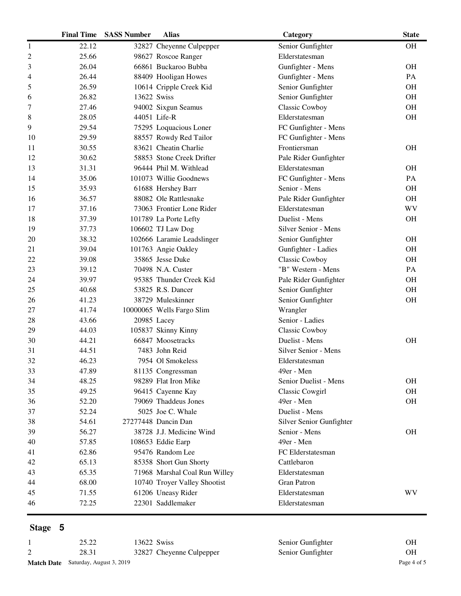|                | <b>Final Time</b> | <b>SASS Number</b> | <b>Alias</b>                  | Category                 | <b>State</b> |
|----------------|-------------------|--------------------|-------------------------------|--------------------------|--------------|
| 1              | 22.12             |                    | 32827 Cheyenne Culpepper      | Senior Gunfighter        | <b>OH</b>    |
| $\overline{c}$ | 25.66             |                    | 98627 Roscoe Ranger           | Elderstatesman           |              |
| 3              | 26.04             |                    | 66861 Buckaroo Bubba          | Gunfighter - Mens        | OH           |
| 4              | 26.44             |                    | 88409 Hooligan Howes          | Gunfighter - Mens        | PA           |
| 5              | 26.59             |                    | 10614 Cripple Creek Kid       | Senior Gunfighter        | OH           |
| 6              | 26.82             | 13622 Swiss        |                               | Senior Gunfighter        | OH           |
| 7              | 27.46             |                    | 94002 Sixgun Seamus           | Classic Cowboy           | OH           |
| 8              | 28.05             |                    | 44051 Life-R                  | Elderstatesman           | OH           |
| 9              | 29.54             |                    | 75295 Loquacious Loner        | FC Gunfighter - Mens     |              |
| 10             | 29.59             |                    | 88557 Rowdy Red Tailor        | FC Gunfighter - Mens     |              |
| 11             | 30.55             |                    | 83621 Cheatin Charlie         | Frontiersman             | <b>OH</b>    |
| 12             | 30.62             |                    | 58853 Stone Creek Drifter     | Pale Rider Gunfighter    |              |
| 13             | 31.31             |                    | 96444 Phil M. Withlead        | Elderstatesman           | OН           |
| 14             | 35.06             |                    | 101073 Willie Goodnews        | FC Gunfighter - Mens     | PA           |
| 15             | 35.93             |                    | 61688 Hershey Barr            | Senior - Mens            | <b>OH</b>    |
| 16             | 36.57             |                    | 88082 Ole Rattlesnake         | Pale Rider Gunfighter    | OH           |
| 17             | 37.16             |                    | 73063 Frontier Lone Rider     | Elderstatesman           | WV           |
| 18             | 37.39             |                    | 101789 La Porte Lefty         | Duelist - Mens           | OH           |
| 19             | 37.73             |                    | 106602 TJ Law Dog             | Silver Senior - Mens     |              |
| 20             | 38.32             |                    | 102666 Laramie Leadslinger    | Senior Gunfighter        | OH           |
| 21             | 39.04             |                    | 101763 Angie Oakley           | Gunfighter - Ladies      | <b>OH</b>    |
| 22             | 39.08             |                    | 35865 Jesse Duke              | Classic Cowboy           | OH           |
| 23             | 39.12             |                    | 70498 N.A. Custer             | "B" Western - Mens       | PA           |
| 24             | 39.97             |                    | 95385 Thunder Creek Kid       | Pale Rider Gunfighter    | <b>OH</b>    |
| 25             | 40.68             |                    | 53825 R.S. Dancer             | Senior Gunfighter        | OH           |
| 26             | 41.23             |                    | 38729 Muleskinner             | Senior Gunfighter        | OH           |
| 27             | 41.74             |                    | 10000065 Wells Fargo Slim     | Wrangler                 |              |
| 28             | 43.66             | 20985 Lacey        |                               | Senior - Ladies          |              |
| 29             | 44.03             |                    | 105837 Skinny Kinny           | <b>Classic Cowboy</b>    |              |
| 30             | 44.21             |                    | 66847 Moosetracks             | Duelist - Mens           | <b>OH</b>    |
| 31             | 44.51             |                    | 7483 John Reid                | Silver Senior - Mens     |              |
| 32             | 46.23             |                    | 7954 Ol Smokeless             | Elderstatesman           |              |
| 33             | 47.89             |                    | 81135 Congressman             | 49er - Men               |              |
| 34             | 48.25             |                    | 98289 Flat Iron Mike          | Senior Duelist - Mens    | <b>OH</b>    |
| 35             | 49.25             |                    | 96415 Cayenne Kay             | <b>Classic Cowgirl</b>   | <b>OH</b>    |
| 36             | 52.20             |                    | 79069 Thaddeus Jones          | 49er - Men               | OH           |
| 37             | 52.24             |                    | 5025 Joe C. Whale             | Duelist - Mens           |              |
| 38             | 54.61             |                    | 27277448 Dancin Dan           | Silver Senior Gunfighter |              |
| 39             | 56.27             |                    | 38728 J.J. Medicine Wind      | Senior - Mens            | <b>OH</b>    |
| 40             | 57.85             |                    | 108653 Eddie Earp             | 49er - Men               |              |
| 41             | 62.86             |                    | 95476 Random Lee              | FC Elderstatesman        |              |
| 42             | 65.13             |                    | 85358 Short Gun Shorty        | Cattlebaron              |              |
| 43             | 65.35             |                    | 71968 Marshal Coal Run Willey | Elderstatesman           |              |
| 44             | 68.00             |                    | 10740 Troyer Valley Shootist  | <b>Gran Patron</b>       |              |
| 45             | 71.55             |                    | 61206 Uneasy Rider            | Elderstatesman           | WV           |
| 46             | 72.25             |                    | 22301 Saddlemaker             | Elderstatesman           |              |
|                |                   |                    |                               |                          |              |

## **Stage 5**

| 25.22                                      | 13622 Swiss              | Senior Gunfighter | OН          |
|--------------------------------------------|--------------------------|-------------------|-------------|
| 28.31                                      | 32827 Cheyenne Culpepper | Senior Gunfighter | ΟH          |
| <b>Match Date</b> Saturday, August 3, 2019 |                          |                   | Page 4 of 5 |